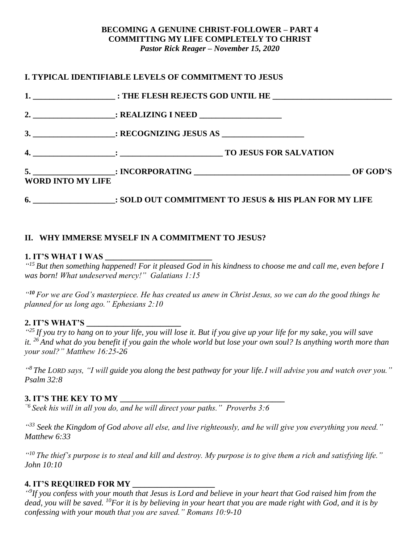#### **BECOMING A GENUINE CHRIST-FOLLOWER – PART 4 COMMITTING MY LIFE COMPLETELY TO CHRIST** *Pastor Rick Reager – November 15, 2020*

|                          | I. TYPICAL IDENTIFIABLE LEVELS OF COMMITMENT TO JESUS                        |  |
|--------------------------|------------------------------------------------------------------------------|--|
|                          |                                                                              |  |
|                          |                                                                              |  |
|                          |                                                                              |  |
|                          |                                                                              |  |
| <b>WORD INTO MY LIFE</b> |                                                                              |  |
|                          | 6. ____________________: SOLD OUT COMMITMENT TO JESUS & HIS PLAN FOR MY LIFE |  |

## **II. WHY IMMERSE MYSELF IN A COMMITMENT TO JESUS?**

#### **1. IT'S WHAT I WAS \_\_\_\_\_\_\_\_\_\_\_\_\_\_\_\_\_\_\_\_\_\_\_\_\_\_**

*" <sup>15</sup>But then something happened! For it pleased God in his kindness to choose me and call me, even before I was born! What undeserved mercy!" Galatians 1:15*

*" <sup>10</sup> For we are God's masterpiece. He has created us anew in Christ Jesus, so we can do the good things he planned for us long ago." Ephesians 2:10*

#### **2. IT'S WHAT'S \_\_\_\_\_\_\_\_\_\_\_\_\_\_\_\_\_\_\_\_\_\_\_**

<sup>425</sup> If you try to hang on to your life, you will lose it. But if you give up your life for my sake, you will save *it. <sup>26</sup> And what do you benefit if you gain the whole world but lose your own soul? Is anything worth more than your soul?" Matthew 16:25-26*

*" <sup>8</sup>The LORD says, "I will guide you along the best pathway for your life.I will advise you and watch over you." Psalm 32:8*

#### **3. IT'S THE KEY TO MY \_\_\_\_\_\_\_\_\_\_\_\_\_\_\_\_\_\_\_\_\_\_\_\_\_\_\_\_\_\_\_\_\_\_\_\_\_\_\_\_**

*"6 Seek his will in all you do, and he will direct your paths." Proverbs 3:6*

*" <sup>33</sup> Seek the Kingdom of God above all else, and live righteously, and he will give you everything you need." Matthew 6:33*

*" <sup>10</sup> The thief's purpose is to steal and kill and destroy. My purpose is to give them a rich and satisfying life." John 10:10*

#### **4. IT'S REQUIRED FOR MY \_\_\_\_\_\_\_\_\_\_\_\_\_\_\_\_\_\_\_\_**

<sup>"9</sup>If you confess with your mouth that Jesus is Lord and believe in your heart that God raised him from the *dead, you will be saved. <sup>10</sup>For it is by believing in your heart that you are made right with God, and it is by confessing with your mouth that you are saved." Romans 10:9-10*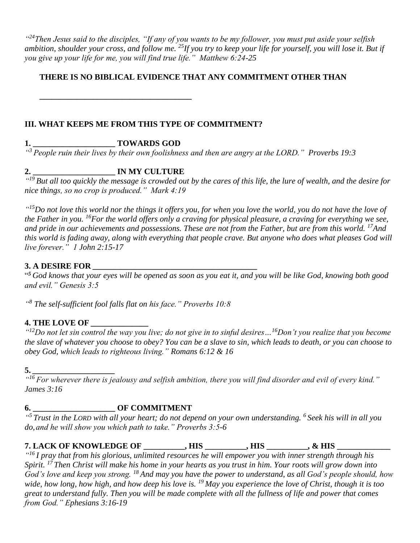*" <sup>24</sup>Then Jesus said to the disciples, "If any of you wants to be my follower, you must put aside your selfish ambition, shoulder your cross, and follow me. <sup>25</sup>If you try to keep your life for yourself, you will lose it. But if you give up your life for me, you will find true life." Matthew 6:24-25*

## **THERE IS NO BIBLICAL EVIDENCE THAT ANY COMMITMENT OTHER THAN**

**III. WHAT KEEPS ME FROM THIS TYPE OF COMMITMENT?**

# **1. \_\_\_\_\_\_\_\_\_\_\_\_\_\_\_\_\_\_\_\_ TOWARDS GOD**

**\_\_\_\_\_\_\_\_\_\_\_\_\_\_\_\_\_\_\_\_\_\_\_\_\_\_\_\_\_\_\_\_\_\_\_\_\_**

*" <sup>3</sup>People ruin their lives by their own foolishness and then are angry at the LORD." Proverbs 19:3*

# **2. \_\_\_\_\_\_\_\_\_\_\_\_\_\_\_\_\_\_\_\_ IN MY CULTURE**

*" <sup>19</sup>But all too quickly the message is crowded out by the cares of this life, the lure of wealth, and the desire for nice things, so no crop is produced." Mark 4:19* 

*" <sup>15</sup>Do not love this world nor the things it offers you, for when you love the world, you do not have the love of the Father in you. <sup>16</sup>For the world offers only a craving for physical pleasure, a craving for everything we see, and pride in our achievements and possessions. These are not from the Father, but are from this world. <sup>17</sup>And this world is fading away, along with everything that people crave. But anyone who does what pleases God will live forever." 1 John 2:15-17*

# **3. A DESIRE FOR** *\_\_\_\_\_\_\_\_\_\_\_\_\_\_\_\_\_\_\_\_\_\_\_\_\_\_\_\_\_\_\_\_\_\_\_\_\_\_\_\_*

" *<sup>5</sup> God knows that your eyes will be opened as soon as you eat it, and you will be like God, knowing both good and evil." Genesis 3:5*

*" <sup>8</sup> The self-sufficient fool falls flat on his face." Proverbs 10:8* 

## **4. THE LOVE OF** *\_\_\_\_\_\_\_\_\_\_\_\_\_\_*

*" <sup>12</sup>Do not let sin control the way you live; do not give in to sinful desires…<sup>16</sup>Don't you realize that you become the slave of whatever you choose to obey? You can be a slave to sin, which leads to death, or you can choose to obey God, which leads to righteous living." Romans 6:12 & 16*

#### **5.** *\_\_\_\_\_\_\_\_\_\_\_\_\_\_\_\_\_\_\_\_*

*" <sup>16</sup>For wherever there is jealousy and selfish ambition, there you will find disorder and evil of every kind." James 3:16*

## **6. \_\_\_\_\_\_\_\_\_\_\_\_\_\_\_\_\_\_\_\_ OF COMMITMENT**

*" <sup>5</sup> Trust in the LORD with all your heart; do not depend on your own understanding. <sup>6</sup> Seek his will in all you do,and he will show you which path to take." Proverbs 3:5-6*

**7. LACK OF KNOWLEDGE OF \_\_\_\_\_\_\_\_\_\_, HIS \_\_\_\_\_\_\_\_\_\_, HIS \_\_\_\_\_\_\_\_\_\_, & HIS \_\_\_\_\_\_\_\_\_\_\_\_\_**

*" <sup>16</sup> I pray that from his glorious, unlimited resources he will empower you with inner strength through his Spirit. <sup>17</sup> Then Christ will make his home in your hearts as you trust in him. Your roots will grow down into God's love and keep you strong. <sup>18</sup> And may you have the power to understand, as all God's people should, how wide, how long, how high, and how deep his love is. <sup>19</sup> May you experience the love of Christ, though it is too great to understand fully. Then you will be made complete with all the fullness of life and power that comes from God." Ephesians 3:16-19*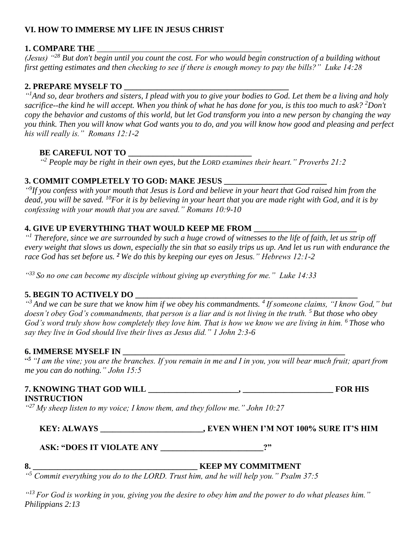## **VI. HOW TO IMMERSE MY LIFE IN JESUS CHRIST**

#### **1. COMPARE THE**

*(Jesus) "<sup>28</sup> But don't begin until you count the cost. For who would begin construction of a building without first getting estimates and then checking to see if there is enough money to pay the bills?" Luke 14:28*

## **2. PREPARE MYSELF TO \_\_\_\_\_\_\_\_\_\_\_\_\_\_\_\_\_\_\_\_\_\_\_\_\_\_\_\_\_\_\_\_\_\_\_\_\_\_\_\_**

*" <sup>1</sup>And so, dear brothers and sisters, I plead with you to give your bodies to God. Let them be a living and holy sacrifice--the kind he will accept. When you think of what he has done for you, is this too much to ask? <sup>2</sup>Don't copy the behavior and customs of this world, but let God transform you into a new person by changing the way you think. Then you will know what God wants you to do, and you will know how good and pleasing and perfect his will really is." Romans 12:1-2* 

# **BE CAREFUL NOT TO \_\_\_\_\_\_\_\_\_\_\_\_\_\_\_\_\_\_\_\_\_\_\_\_\_\_\_\_\_\_**

*" <sup>2</sup> People may be right in their own eyes, but the LORD examines their heart." Proverbs 21:2*

## **3. COMMIT COMPLETELY TO GOD: MAKE JESUS \_\_\_\_\_\_\_\_\_\_\_\_\_\_\_\_\_\_\_\_\_\_\_\_\_**

*" 9 If you confess with your mouth that Jesus is Lord and believe in your heart that God raised him from the dead, you will be saved. <sup>10</sup>For it is by believing in your heart that you are made right with God, and it is by confessing with your mouth that you are saved." Romans 10:9-10*

## **4. GIVE UP EVERYTHING THAT WOULD KEEP ME FROM \_\_\_\_\_\_\_\_\_\_\_\_\_\_\_\_\_\_\_\_\_\_\_\_\_**

*" <sup>1</sup> Therefore, since we are surrounded by such a huge crowd of witnesses to the life of faith, let us strip off every weight that slows us down, especially the sin that so easily trips us up. And let us run with endurance the race God has set before us. <sup>2</sup> We do this by keeping our eyes on Jesus." Hebrews 12:1-2*

*" <sup>33</sup>So no one can become my disciple without giving up everything for me." Luke 14:33*

# **5. BEGIN TO ACTIVELY DO \_\_\_\_\_\_\_\_\_\_\_\_\_\_\_\_\_\_\_\_\_\_\_\_\_\_\_\_\_\_\_\_\_\_\_\_\_\_\_\_\_\_\_\_\_\_\_\_\_\_\_\_\_\_**

*" <sup>3</sup> And we can be sure that we know him if we obey his commandments. <sup>4</sup> If someone claims, "I know God," but doesn't obey God's commandments, that person is a liar and is not living in the truth. <sup>5</sup> But those who obey God's word truly show how completely they love him. That is how we know we are living in him. <sup>6</sup> Those who say they live in God should live their lives as Jesus did." 1 John 2:3-6*

#### **6. IMMERSE MYSELF IN \_\_\_\_\_\_\_\_\_\_\_\_\_\_\_\_\_\_\_\_\_\_\_\_\_\_\_\_\_\_\_\_\_\_\_\_\_\_\_\_\_\_\_\_\_\_\_\_\_\_\_\_\_\_**

" *<sup>5</sup> "I am the vine; you are the branches. If you remain in me and I in you, you will bear much fruit; apart from me you can do nothing." John 15:5*

## **7. KNOWING THAT GOD WILL \_\_\_\_\_\_\_\_\_\_\_\_\_\_\_\_\_\_\_\_\_\_, \_\_\_\_\_\_\_\_\_\_\_\_\_\_\_\_\_\_\_\_\_\_ FOR HIS INSTRUCTION**

*" <sup>27</sup> My sheep listen to my voice; I know them, and they follow me." John 10:27*

**KEY: ALWAYS \_\_\_\_\_\_\_\_\_\_\_\_\_\_\_\_\_\_\_\_\_\_\_\_\_, EVEN WHEN I'M NOT 100% SURE IT'S HIM**

**ASK: "DOES IT VIOLATE ANY \_\_\_\_\_\_\_\_\_\_\_\_\_\_\_\_\_\_\_\_\_\_\_\_\_?"**

## **8. \_\_\_\_\_\_\_\_\_\_\_\_\_\_\_\_\_\_\_\_\_\_\_\_\_\_\_\_\_\_\_\_\_\_\_\_\_\_\_\_ KEEP MY COMMITMENT**

*" <sup>5</sup> Commit everything you do to the LORD. Trust him, and he will help you." Psalm 37:5*

*" <sup>13</sup>For God is working in you, giving you the desire to obey him and the power to do what pleases him." Philippians 2:13*